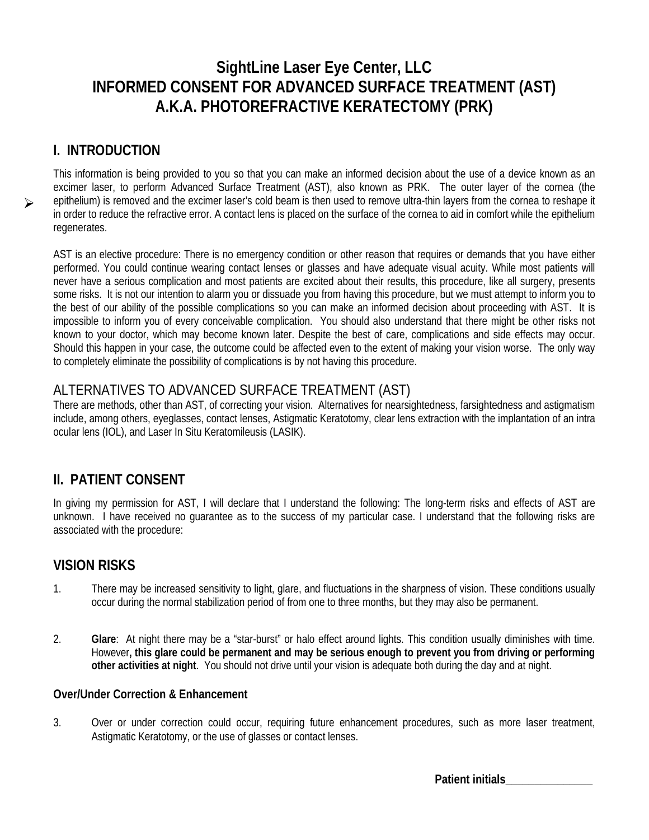# **SightLine Laser Eye Center, LLC INFORMED CONSENT FOR ADVANCED SURFACE TREATMENT (AST) A.K.A. PHOTOREFRACTIVE KERATECTOMY (PRK)**

## **I. INTRODUCTION**

 $\blacktriangleright$ 

This information is being provided to you so that you can make an informed decision about the use of a device known as an excimer laser, to perform Advanced Surface Treatment (AST), also known as PRK. The outer layer of the cornea (the epithelium) is removed and the excimer laser's cold beam is then used to remove ultra-thin layers from the cornea to reshape it in order to reduce the refractive error. A contact lens is placed on the surface of the cornea to aid in comfort while the epithelium regenerates.

AST is an elective procedure: There is no emergency condition or other reason that requires or demands that you have either performed. You could continue wearing contact lenses or glasses and have adequate visual acuity. While most patients will never have a serious complication and most patients are excited about their results, this procedure, like all surgery, presents some risks. It is not our intention to alarm you or dissuade you from having this procedure, but we must attempt to inform you to the best of our ability of the possible complications so you can make an informed decision about proceeding with AST. It is impossible to inform you of every conceivable complication. You should also understand that there might be other risks not known to your doctor, which may become known later. Despite the best of care, complications and side effects may occur. Should this happen in your case, the outcome could be affected even to the extent of making your vision worse. The only way to completely eliminate the possibility of complications is by not having this procedure.

## ALTERNATIVES TO ADVANCED SURFACE TREATMENT (AST)

There are methods, other than AST, of correcting your vision. Alternatives for nearsightedness, farsightedness and astigmatism include, among others, eyeglasses, contact lenses, Astigmatic Keratotomy, clear lens extraction with the implantation of an intra ocular lens (IOL), and Laser In Situ Keratomileusis (LASIK).

## **II. PATIENT CONSENT**

In giving my permission for AST, I will declare that I understand the following: The long-term risks and effects of AST are unknown. I have received no guarantee as to the success of my particular case. I understand that the following risks are associated with the procedure:

## **VISION RISKS**

- 1. There may be increased sensitivity to light, glare, and fluctuations in the sharpness of vision. These conditions usually occur during the normal stabilization period of from one to three months, but they may also be permanent.
- 2. **Glare**: At night there may be a "star-burst" or halo effect around lights. This condition usually diminishes with time. However**, this glare could be permanent and may be serious enough to prevent you from driving or performing other activities at night**. You should not drive until your vision is adequate both during the day and at night.

#### **Over/Under Correction & Enhancement**

3. Over or under correction could occur, requiring future enhancement procedures, such as more laser treatment, Astigmatic Keratotomy, or the use of glasses or contact lenses.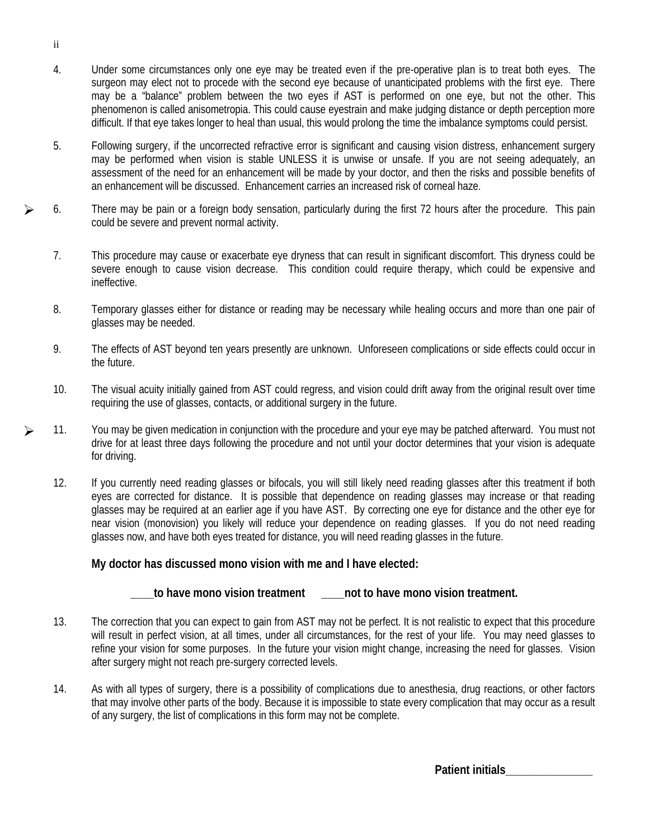- 4. Under some circumstances only one eye may be treated even if the pre-operative plan is to treat both eyes. The surgeon may elect not to procede with the second eye because of unanticipated problems with the first eye. There may be a "balance" problem between the two eyes if AST is performed on one eye, but not the other. This phenomenon is called anisometropia. This could cause eyestrain and make judging distance or depth perception more difficult. If that eye takes longer to heal than usual, this would prolong the time the imbalance symptoms could persist.
- 5. Following surgery, if the uncorrected refractive error is significant and causing vision distress, enhancement surgery may be performed when vision is stable UNLESS it is unwise or unsafe. If you are not seeing adequately, an assessment of the need for an enhancement will be made by your doctor, and then the risks and possible benefits of an enhancement will be discussed. Enhancement carries an increased risk of corneal haze.
- 6. There may be pain or a foreign body sensation, particularly during the first 72 hours after the procedure. This pain could be severe and prevent normal activity.
	- 7. This procedure may cause or exacerbate eye dryness that can result in significant discomfort. This dryness could be severe enough to cause vision decrease. This condition could require therapy, which could be expensive and ineffective.
	- 8. Temporary glasses either for distance or reading may be necessary while healing occurs and more than one pair of glasses may be needed.
	- 9. The effects of AST beyond ten years presently are unknown. Unforeseen complications or side effects could occur in the future.
	- 10. The visual acuity initially gained from AST could regress, and vision could drift away from the original result over time requiring the use of glasses, contacts, or additional surgery in the future.
- 11. You may be given medication in conjunction with the procedure and your eye may be patched afterward. You must not drive for at least three days following the procedure and not until your doctor determines that your vision is adequate for driving.  $\blacktriangleright$ 
	- 12. If you currently need reading glasses or bifocals, you will still likely need reading glasses after this treatment if both eyes are corrected for distance. It is possible that dependence on reading glasses may increase or that reading glasses may be required at an earlier age if you have AST. By correcting one eye for distance and the other eye for near vision (monovision) you likely will reduce your dependence on reading glasses. If you do not need reading glasses now, and have both eyes treated for distance, you will need reading glasses in the future.

#### **My doctor has discussed mono vision with me and I have elected:**

#### **\_\_\_\_to have mono vision treatment \_\_\_\_not to have mono vision treatment.**

- 13. The correction that you can expect to gain from AST may not be perfect. It is not realistic to expect that this procedure will result in perfect vision, at all times, under all circumstances, for the rest of your life. You may need glasses to refine your vision for some purposes. In the future your vision might change, increasing the need for glasses. Vision after surgery might not reach pre-surgery corrected levels.
- 14. As with all types of surgery, there is a possibility of complications due to anesthesia, drug reactions, or other factors that may involve other parts of the body. Because it is impossible to state every complication that may occur as a result of any surgery, the list of complications in this form may not be complete.

ii

 $\blacktriangleright$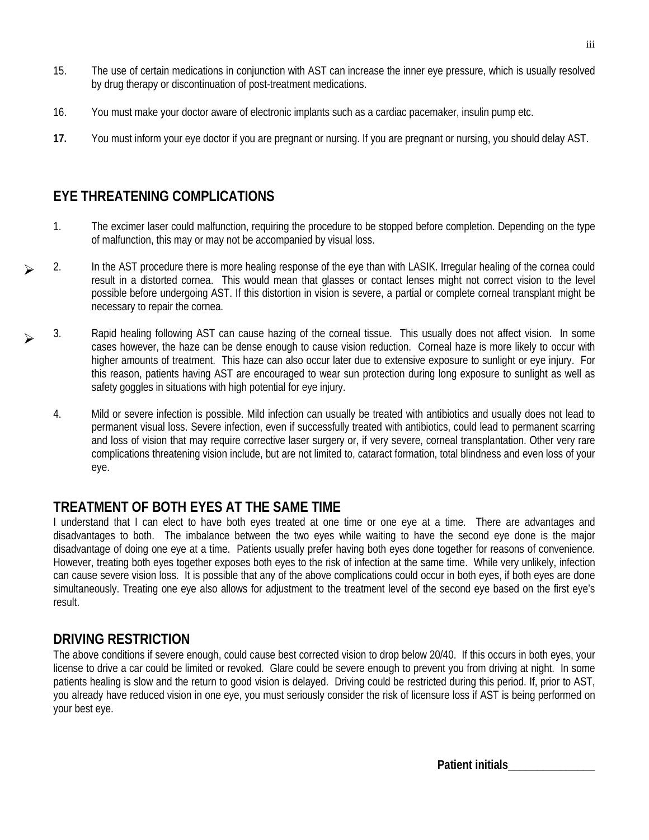- 15. The use of certain medications in conjunction with AST can increase the inner eye pressure, which is usually resolved by drug therapy or discontinuation of post-treatment medications.
- 16. You must make your doctor aware of electronic implants such as a cardiac pacemaker, insulin pump etc.
- **17.** You must inform your eye doctor if you are pregnant or nursing. If you are pregnant or nursing, you should delay AST.

## **EYE THREATENING COMPLICATIONS**

- 1. The excimer laser could malfunction, requiring the procedure to be stopped before completion. Depending on the type of malfunction, this may or may not be accompanied by visual loss.
- 2. In the AST procedure there is more healing response of the eye than with LASIK. Irregular healing of the cornea could result in a distorted cornea. This would mean that glasses or contact lenses might not correct vision to the level possible before undergoing AST. If this distortion in vision is severe, a partial or complete corneal transplant might be necessary to repair the cornea.  $\blacktriangleright$ 
	- 3. Rapid healing following AST can cause hazing of the corneal tissue. This usually does not affect vision. In some cases however, the haze can be dense enough to cause vision reduction. Corneal haze is more likely to occur with higher amounts of treatment. This haze can also occur later due to extensive exposure to sunlight or eye injury. For this reason, patients having AST are encouraged to wear sun protection during long exposure to sunlight as well as safety goggles in situations with high potential for eye injury.
		- 4. Mild or severe infection is possible. Mild infection can usually be treated with antibiotics and usually does not lead to permanent visual loss. Severe infection, even if successfully treated with antibiotics, could lead to permanent scarring and loss of vision that may require corrective laser surgery or, if very severe, corneal transplantation. Other very rare complications threatening vision include, but are not limited to, cataract formation, total blindness and even loss of your eye.

## **TREATMENT OF BOTH EYES AT THE SAME TIME**

I understand that I can elect to have both eyes treated at one time or one eye at a time. There are advantages and disadvantages to both. The imbalance between the two eyes while waiting to have the second eye done is the major disadvantage of doing one eye at a time. Patients usually prefer having both eyes done together for reasons of convenience. However, treating both eyes together exposes both eyes to the risk of infection at the same time. While very unlikely, infection can cause severe vision loss. It is possible that any of the above complications could occur in both eyes, if both eyes are done simultaneously. Treating one eye also allows for adjustment to the treatment level of the second eye based on the first eye's result.

## **DRIVING RESTRICTION**

 $\blacktriangleright$ 

The above conditions if severe enough, could cause best corrected vision to drop below 20/40. If this occurs in both eyes, your license to drive a car could be limited or revoked. Glare could be severe enough to prevent you from driving at night. In some patients healing is slow and the return to good vision is delayed. Driving could be restricted during this period. If, prior to AST, you already have reduced vision in one eye, you must seriously consider the risk of licensure loss if AST is being performed on your best eye.